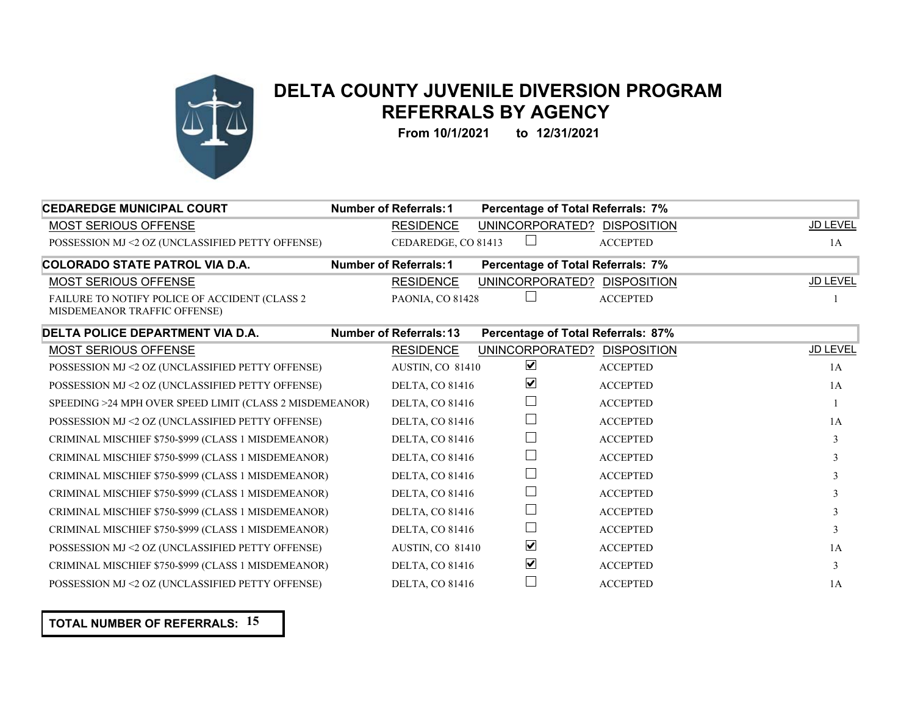

## **DELTA COUNTY JUVENILE DIVERSION PROGRAM REFERRALS BY AGENCY**

**From 10/1/2021 to 12/31/2021**

| <b>CEDAREDGE MUNICIPAL COURT</b>                                              | <b>Number of Referrals: 1</b>  | Percentage of Total Referrals: 7%  |                    |          |
|-------------------------------------------------------------------------------|--------------------------------|------------------------------------|--------------------|----------|
| MOST SERIOUS OFFENSE                                                          | <b>RESIDENCE</b>               | UNINCORPORATED? DISPOSITION        |                    | JD LEVEL |
| POSSESSION MJ <2 OZ (UNCLASSIFIED PETTY OFFENSE)                              | CEDAREDGE, CO 81413            |                                    | <b>ACCEPTED</b>    | 1A       |
| <b>COLORADO STATE PATROL VIA D.A.</b>                                         | <b>Number of Referrals: 1</b>  | Percentage of Total Referrals: 7%  |                    |          |
| MOST SERIOUS OFFENSE                                                          | <b>RESIDENCE</b>               | UNINCORPORATED?                    | <b>DISPOSITION</b> | JD LEVEL |
| FAILURE TO NOTIFY POLICE OF ACCIDENT (CLASS 2<br>MISDEMEANOR TRAFFIC OFFENSE) | PAONIA, CO 81428               |                                    | <b>ACCEPTED</b>    |          |
| DELTA POLICE DEPARTMENT VIA D.A.                                              | <b>Number of Referrals: 13</b> | Percentage of Total Referrals: 87% |                    |          |
| MOST SERIOUS OFFENSE                                                          | <b>RESIDENCE</b>               | UNINCORPORATED? DISPOSITION        |                    | JD LEVEL |
| POSSESSION MJ <2 OZ (UNCLASSIFIED PETTY OFFENSE)                              | AUSTIN, CO 81410               | $\blacktriangledown$               | <b>ACCEPTED</b>    | 1A       |
| POSSESSION MJ <2 OZ (UNCLASSIFIED PETTY OFFENSE)                              | <b>DELTA, CO 81416</b>         | ☑                                  | <b>ACCEPTED</b>    | 1A       |
| SPEEDING >24 MPH OVER SPEED LIMIT (CLASS 2 MISDEMEANOR)                       | <b>DELTA, CO 81416</b>         |                                    | <b>ACCEPTED</b>    |          |
| POSSESSION MJ <2 OZ (UNCLASSIFIED PETTY OFFENSE)                              | <b>DELTA, CO 81416</b>         |                                    | <b>ACCEPTED</b>    | 1A       |
| CRIMINAL MISCHIEF \$750-\$999 (CLASS 1 MISDEMEANOR)                           | <b>DELTA, CO 81416</b>         |                                    | <b>ACCEPTED</b>    | 3        |
| CRIMINAL MISCHIEF \$750-\$999 (CLASS 1 MISDEMEANOR)                           | <b>DELTA, CO 81416</b>         |                                    | <b>ACCEPTED</b>    |          |
| CRIMINAL MISCHIEF \$750-\$999 (CLASS 1 MISDEMEANOR)                           | <b>DELTA, CO 81416</b>         |                                    | <b>ACCEPTED</b>    |          |
| CRIMINAL MISCHIEF \$750-\$999 (CLASS 1 MISDEMEANOR)                           | <b>DELTA, CO 81416</b>         |                                    | <b>ACCEPTED</b>    | 3        |
| CRIMINAL MISCHIEF \$750-\$999 (CLASS 1 MISDEMEANOR)                           | <b>DELTA, CO 81416</b>         |                                    | <b>ACCEPTED</b>    |          |
| CRIMINAL MISCHIEF \$750-\$999 (CLASS 1 MISDEMEANOR)                           | <b>DELTA, CO 81416</b>         |                                    | <b>ACCEPTED</b>    |          |
| POSSESSION MJ <2 OZ (UNCLASSIFIED PETTY OFFENSE)                              | AUSTIN, CO 81410               | $\blacktriangledown$               | <b>ACCEPTED</b>    | 1A       |
| CRIMINAL MISCHIEF \$750-\$999 (CLASS 1 MISDEMEANOR)                           | <b>DELTA, CO 81416</b>         | ☑                                  | <b>ACCEPTED</b>    | 3        |
| POSSESSION MJ <2 OZ (UNCLASSIFIED PETTY OFFENSE)                              | <b>DELTA, CO 81416</b>         |                                    | <b>ACCEPTED</b>    | 1A       |

**TOTAL NUMBER OF REFERRALS: 15**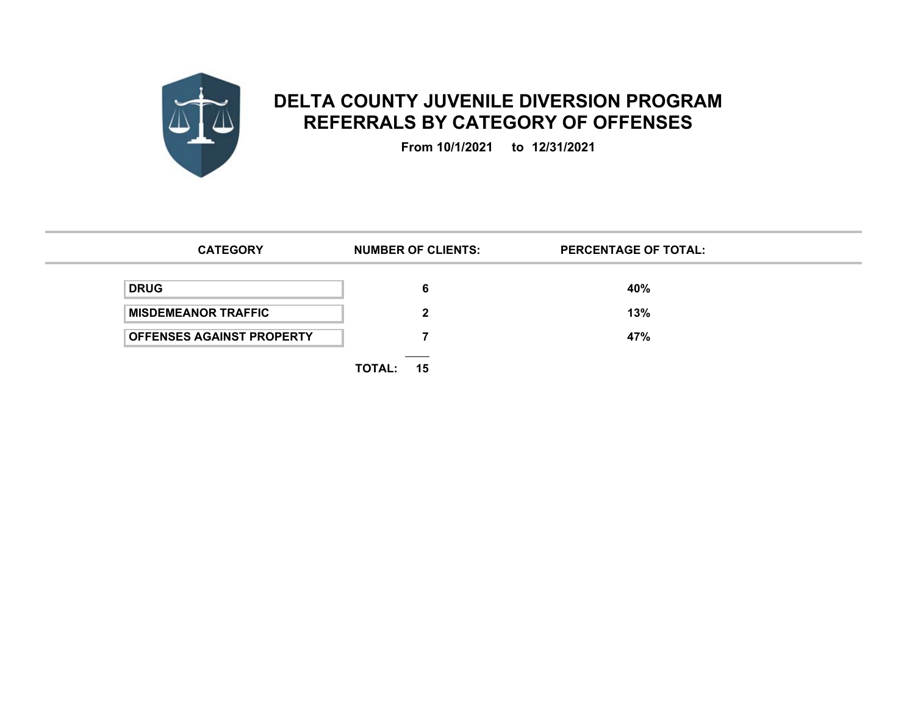

## **DELTA COUNTY JUVENILE DIVERSION PROGRAM REFERRALS BY CATEGORY OF OFFENSES**

**From 10/1/2021 to 12/31/2021**

| <b>CATEGORY</b>                  | <b>NUMBER OF CLIENTS:</b>                                     | <b>PERCENTAGE OF TOTAL:</b> |
|----------------------------------|---------------------------------------------------------------|-----------------------------|
| <b>DRUG</b>                      | 6                                                             | 40%                         |
| <b>MISDEMEANOR TRAFFIC</b>       | 2                                                             | 13%                         |
| <b>OFFENSES AGAINST PROPERTY</b> |                                                               | 47%                         |
|                                  | the control of the control of the con-<br><b>TOTAL:</b><br>15 |                             |